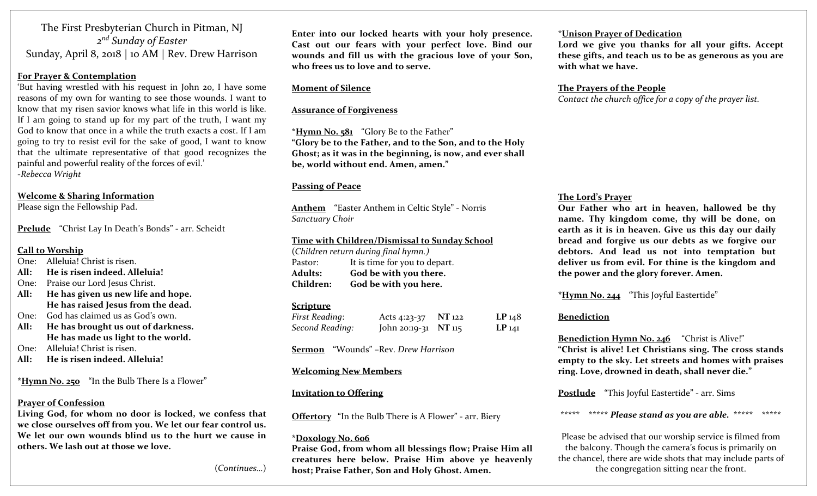The First Presbyterian Church in Pitman, NJ *<sup>2</sup>nd Sunday of Easter* Sunday, April 8, <sup>2018</sup> | <sup>10</sup> AM | Rev. Drew Harrison

#### **For Prayer & Contemplation**

'But having wrestled with his reques<sup>t</sup> in John 20, <sup>I</sup> have some reasons of my own for wanting to see those wounds. <sup>I</sup> want to know that my risen savior knows what life in this world is like. If I am going to stand up for my par<sup>t</sup> of the truth, <sup>I</sup> want my God to know that once in a while the truth exacts a cost. If I amgoing to try to resist evil for the sake of good, <sup>I</sup> want to know that the ultimate representative of that good recognizes the painful and powerful reality of the forces of evil.' ‐*Rebecca Wright*

#### **Welcome & Sharing Information**

Please sign the Fellowship Pad.

**Prelude** "Christ Lay In Death's Bonds" ‐ arr. Scheidt

#### **Call to Worship**

- One: Alleluia! Christ is risen.
- **All:He is risen indeed. Alleluia!**
- One: Praise our Lord Jesus Christ.
- **All: He has given us new life and hope. He has raised Jesus from the dead.**
- One: God has claimed us as God's own.
- **All: He has brought us out of darkness. He has made us light to the world.**
- One:Alleluia! Christ is risen.
- **All:He is risen indeed. Alleluia!**

**\*Hymn No. 250** "In the Bulb There Is a Flower"

#### **Prayer of Confession**

**Living God, for whom no door is locked, we confess that we close ourselves off from you. We let our fear control us. We let our own wounds blind us to the hurt we cause in others. We lash out at those we love.**

**Enter into our locked hearts with your holy presence. Cast out our fears with your perfect love. Bind our wounds and fill us with the gracious love of your Son, who frees us to love and to serve.**

#### **Moment of Silence**

#### **Assurance of Forgiveness**

**\*Hymn No. <sup>5</sup><sup>81</sup>** "Glory Be to the Father" **"Glory be to the Father, and to the Son, and to the Holy Ghost; as it was in the beginning, is now, and ever shall be, world without end. Amen, amen."**

#### **Passing of Peace**

**Anthem** "Easter Anthem in Celtic Style" ‐ Norris *Sanctuary Choir*

#### **Time with Children/Dismissal to Sunday School**

(*Children return during final hymn.)* Pastor: It is time for you to depart. **Adults: God be with you there. Children:God be with you here.**

#### **Scripture**

| <b>First Reading:</b> | Acts 4:23-37 NT 122  | LP <sub>148</sub> |
|-----------------------|----------------------|-------------------|
| Second Reading:       | John 20:19-31 NT 115 | $LP_{141}$        |

**Sermon** "Wounds" –Rev. *Drew Harrison*

#### **Welcoming New Members**

### **Invitation to Offering**

**Offertory** "In the Bulb There is A Flower" ‐ arr. Biery

#### **\*Doxology No. 606**

**Praise God, from whom all blessings flow; Praise Him all creatures here below. Praise Him above ye heavenly host; Praise Father, Son and Holy Ghost. Amen.**

#### \***Unison Prayer of Dedication**

**Lord we give you thanks for all your gifts. Accept these gifts, and teach us to be as generous as you are with what we have.**

# **The Prayers of the People**

*Contact the church office for a copy of the prayer list.*

## **The Lord's Prayer**

**Our Father who art in heaven, hallowed be thy name. Thy kingdom come, thy will be done, on earth as it is in heaven. Give us this day our daily bread and forgive us our debts as we forgive our debtors. And lead us not into temptation but deliver us from evil. For thine is the kingdom and the power and the glory forever. Amen.**

**\*Hymn No. <sup>244</sup>** "This Joyful Eastertide"

# **Benediction**

**Benediction Hymn No. 246** "Christ is Alive!" **"Christ is alive! Let Christians sing. The cross stands empty to the sky. Let streets and homes with praises ring. Love, drowned in death, shall never die."**

**Postlude** "This Joyful Eastertide" ‐ arr. Sims

\*\*\*\*\* \*\*\*\*\* *Please stand as you are able.* \*\*\*\*\* \*\*\*\*\*

Please be advised that our worship service is filmed from the balcony. Though the camera's focus is primarily on the chancel, there are wide shots that may include parts of the congregation sitting near the front.

(*Continues…*)